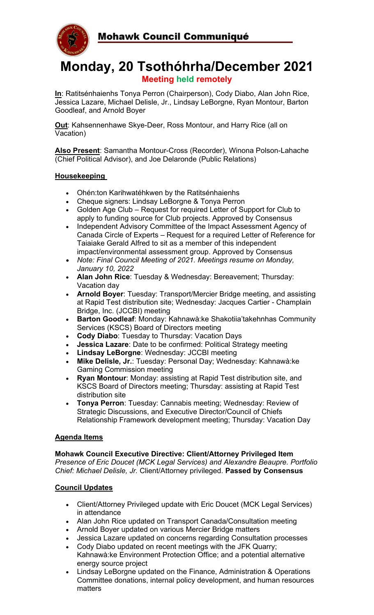

# **Monday, 20 Tsothóhrha/December 2021 Meeting held remotely**

**In**: Ratitsénhaienhs Tonya Perron (Chairperson), Cody Diabo, Alan John Rice, Jessica Lazare, Michael Delisle, Jr., Lindsay LeBorgne, Ryan Montour, Barton Goodleaf, and Arnold Boyer

**Out:** Kahsennenhawe Skye-Deer, Ross Montour, and Harry Rice (all on Vacation)

**Also Present**: Samantha Montour-Cross (Recorder), Winona Polson-Lahache (Chief Political Advisor), and Joe Delaronde (Public Relations)

### **Housekeeping**

- Ohén:ton Karihwatéhkwen by the Ratitsénhaienhs
- Cheque signers: Lindsay LeBorgne & Tonya Perron
- Golden Age Club Request for required Letter of Support for Club to apply to funding source for Club projects. Approved by Consensus
- Independent Advisory Committee of the Impact Assessment Agency of Canada Circle of Experts – Request for a required Letter of Reference for Taiaiake Gerald Alfred to sit as a member of this independent impact/environmental assessment group. Approved by Consensus
- *Note: Final Council Meeting of 2021. Meetings resume on Monday, January 10, 2022*
- **Alan John Rice**: Tuesday & Wednesday: Bereavement; Thursday: Vacation day
- **Arnold Boyer**: Tuesday: Transport/Mercier Bridge meeting, and assisting at Rapid Test distribution site; Wednesday: Jacques Cartier - Champlain Bridge, Inc. (JCCBI) meeting
- **Barton Goodleaf**: Monday: Kahnawà:ke Shakotiia'takehnhas Community Services (KSCS) Board of Directors meeting
- **Cody Diabo:** Tuesday to Thursday: Vacation Days
- **Jessica Lazare**: Date to be confirmed: Political Strategy meeting
- **Lindsay LeBorgne**: Wednesday: JCCBI meeting
- **Mike Delisle, Jr.**: Tuesday: Personal Day; Wednesday: Kahnawà:ke Gaming Commission meeting
- **Ryan Montour**: Monday: assisting at Rapid Test distribution site, and KSCS Board of Directors meeting; Thursday: assisting at Rapid Test distribution site
- **Tonya Perron**: Tuesday: Cannabis meeting; Wednesday: Review of Strategic Discussions, and Executive Director/Council of Chiefs Relationship Framework development meeting; Thursday: Vacation Day

#### **Agenda Items**

**Mohawk Council Executive Directive: Client/Attorney Privileged Item** *Presence of Eric Doucet (MCK Legal Services) and Alexandre Beaupre. Portfolio Chief: Michael Delisle, Jr.* Client/Attorney privileged. **Passed by Consensus**

#### **Council Updates**

- Client/Attorney Privileged update with Eric Doucet (MCK Legal Services) in attendance
- Alan John Rice updated on Transport Canada/Consultation meeting
- Arnold Boyer updated on various Mercier Bridge matters
- Jessica Lazare updated on concerns regarding Consultation processes
- Cody Diabo updated on recent meetings with the JFK Quarry; Kahnawà:ke Environment Protection Office; and a potential alternative energy source project
- Lindsay LeBorgne updated on the Finance, Administration & Operations Committee donations, internal policy development, and human resources matters